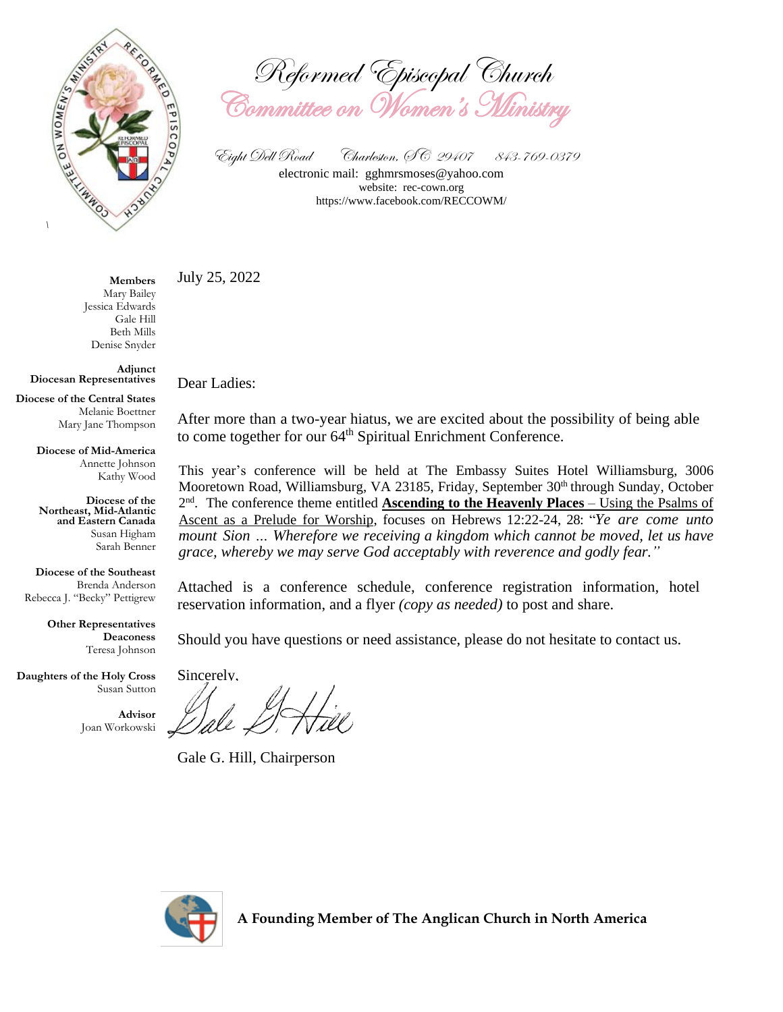

Reformed Episcopal Church Committee on Women's Ministry

Eight Dell Road Charleston, SC 29407 843-769-0379 electronic mail: [gghmrsmoses@yahoo.com](mailto:gghmrsmoses@yahoo.com) website: rec-cown.org https://www.facebook.com/RECCOWM/

July 25, 2022

**Members** Mary Bailey Jessica Edwards Gale Hill Beth Mills Denise Snyder

**Adjunct Diocesan Representatives**

**Diocese of the Central States** Melanie Boettner Mary Jane Thompson

> **Diocese of Mid-America** Annette Johnson Kathy Wood

> **Diocese of the Northeast, Mid-Atlantic and Eastern Canada** Susan Higham Sarah Benner

**Diocese of the Southeast** Brenda Anderson Rebecca J. "Becky" Pettigrew

> **Other Representatives Deaconess** Teresa Johnson

**Daughters of the Holy Cross** Susan Sutton

> **Advisor** Joan Workowski

Dear Ladies:

After more than a two-year hiatus, we are excited about the possibility of being able to come together for our 64<sup>th</sup> Spiritual Enrichment Conference.

This year's conference will be held at The Embassy Suites Hotel Williamsburg, 3006 Mooretown Road, Williamsburg, VA 23185, Friday, September 30<sup>th</sup> through Sunday, October 2<sup>nd</sup>. The conference theme entitled **Ascending to the Heavenly Places** – Using the Psalms of Ascent as a Prelude for Worship, focuses on Hebrews 12:22-24, 28: "*Ye are come unto mount Sion … Wherefore we receiving a kingdom which cannot be moved, let us have grace, whereby we may serve God acceptably with reverence and godly fear."*

Attached is a conference schedule, conference registration information, hotel reservation information, and a flyer *(copy as needed)* to post and share.

Should you have questions or need assistance, please do not hesitate to contact us.

Sincerely,

Gale G. Hill, Chairperson

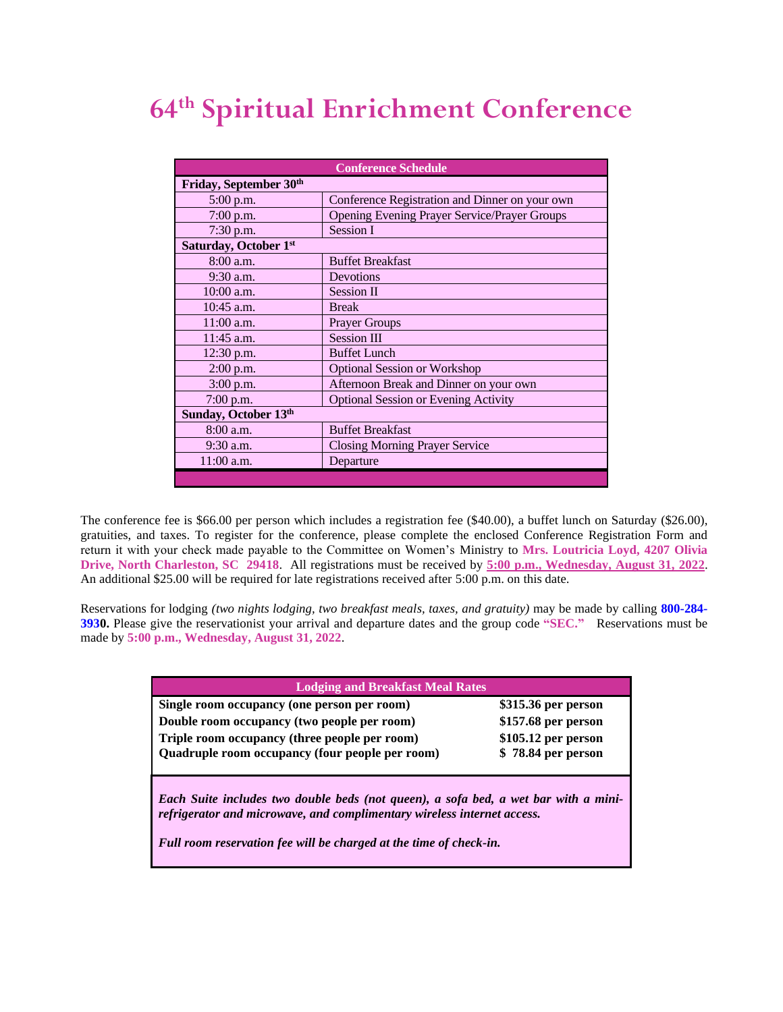### **64 th Spiritual Enrichment Conference**

| <b>Conference Schedule</b>         |                                                     |  |  |  |
|------------------------------------|-----------------------------------------------------|--|--|--|
| Friday, September 30 <sup>th</sup> |                                                     |  |  |  |
| $5:00$ p.m.                        | Conference Registration and Dinner on your own      |  |  |  |
| $7:00$ p.m.                        | <b>Opening Evening Prayer Service/Prayer Groups</b> |  |  |  |
| 7:30 p.m.                          | Session I                                           |  |  |  |
| Saturday, October 1st              |                                                     |  |  |  |
| 8:00 a.m.                          | <b>Buffet Breakfast</b>                             |  |  |  |
| 9:30 a.m.                          | Devotions                                           |  |  |  |
| 10:00 a.m.                         | <b>Session II</b>                                   |  |  |  |
| 10:45 a.m.                         | <b>Break</b>                                        |  |  |  |
| $11:00$ a.m.                       | <b>Prayer Groups</b>                                |  |  |  |
| 11:45 a.m.                         | <b>Session III</b>                                  |  |  |  |
| $12:30$ p.m.                       | <b>Buffet Lunch</b>                                 |  |  |  |
| $2:00$ p.m.                        | <b>Optional Session or Workshop</b>                 |  |  |  |
| 3:00 p.m.                          | Afternoon Break and Dinner on your own              |  |  |  |
| 7:00 p.m.                          | <b>Optional Session or Evening Activity</b>         |  |  |  |
| Sunday, October 13th               |                                                     |  |  |  |
| 8:00 a.m.                          | <b>Buffet Breakfast</b>                             |  |  |  |
| $9:30$ a.m.                        | <b>Closing Morning Prayer Service</b>               |  |  |  |
| $11:00$ a.m.                       | Departure                                           |  |  |  |
|                                    |                                                     |  |  |  |

The conference fee is \$66.00 per person which includes a registration fee (\$40.00), a buffet lunch on Saturday (\$26.00), gratuities, and taxes. To register for the conference, please complete the enclosed Conference Registration Form and return it with your check made payable to the Committee on Women's Ministry to **Mrs. Loutricia Loyd, 4207 Olivia Drive, North Charleston, SC 29418**. All registrations must be received by **5:00 p.m., Wednesday, August 31, 2022**. An additional \$25.00 will be required for late registrations received after 5:00 p.m. on this date.

Reservations for lodging *(two nights lodging, two breakfast meals, taxes, and gratuity)* may be made by calling **800-284- 3930.** Please give the reservationist your arrival and departure dates and the group code **"SEC."** Reservations must be made by **5:00 p.m., Wednesday, August 31, 2022**.

| <b>Lodging and Breakfast Meal Rates</b>                                                                                                                                                        |                                                                                         |  |  |  |
|------------------------------------------------------------------------------------------------------------------------------------------------------------------------------------------------|-----------------------------------------------------------------------------------------|--|--|--|
| Single room occupancy (one person per room)<br>Double room occupancy (two people per room)<br>Triple room occupancy (three people per room)<br>Quadruple room occupancy (four people per room) | \$315.36 per person<br>\$157.68 per person<br>\$105.12 per person<br>\$78.84 per person |  |  |  |
| Each Suite includes two double beds (not queen), a sofa bed, a wet bar with a mini-<br>refrigerator and microwave, and complimentary wireless internet access.                                 |                                                                                         |  |  |  |

*Full room reservation fee will be charged at the time of check-in.*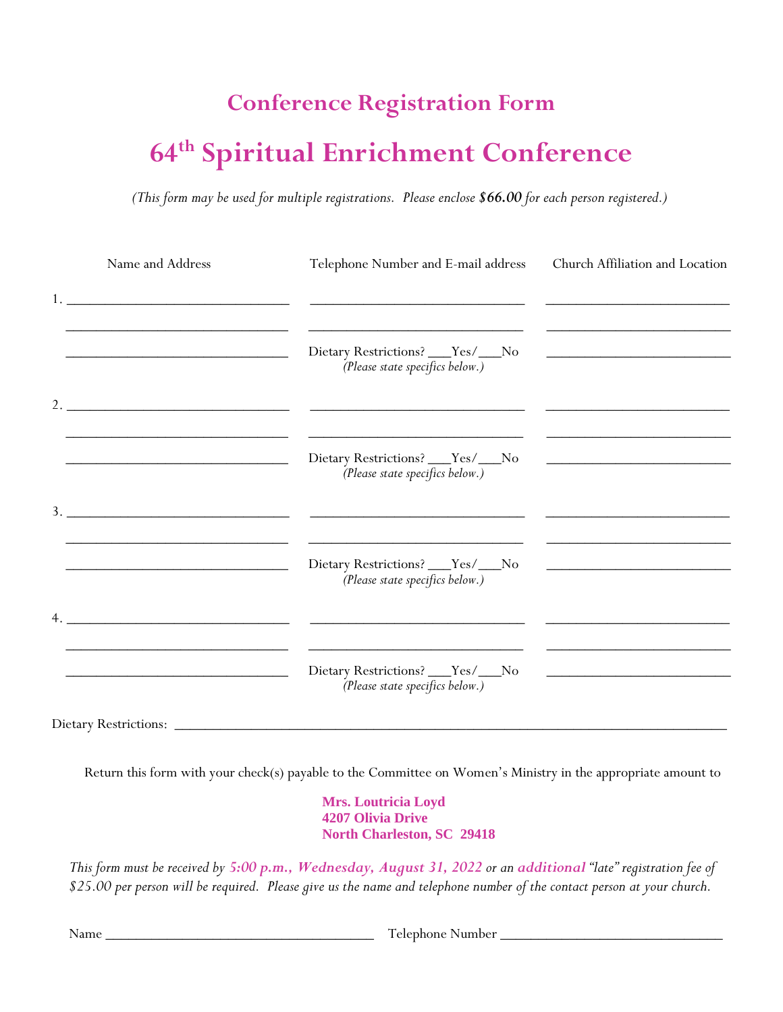# **Conference Registration Form 64 th Spiritual Enrichment Conference**

*(This form may be used for multiple registrations. Please enclose \$66.00 for each person registered.)*

|    | Name and Address                                                                                                                                                                                                                                                                                                       | Telephone Number and E-mail address                                                                                           | Church Affiliation and Location                                                                                                                                                                                                      |
|----|------------------------------------------------------------------------------------------------------------------------------------------------------------------------------------------------------------------------------------------------------------------------------------------------------------------------|-------------------------------------------------------------------------------------------------------------------------------|--------------------------------------------------------------------------------------------------------------------------------------------------------------------------------------------------------------------------------------|
|    |                                                                                                                                                                                                                                                                                                                        | <u>and the state of the state</u>                                                                                             |                                                                                                                                                                                                                                      |
|    |                                                                                                                                                                                                                                                                                                                        | ${\rm Dietary \;Restrictions?}\; \underline{\hspace{1cm}} Yes/\underline{\hspace{1cm}} No$<br>(Please state specifics below.) | <u>and the contract of the contract of the contract of the contract of the contract of the contract of the contract of the contract of the contract of the contract of the contract of the contract of the contract of the contr</u> |
|    | 2. $\frac{1}{2}$ $\frac{1}{2}$ $\frac{1}{2}$ $\frac{1}{2}$ $\frac{1}{2}$ $\frac{1}{2}$ $\frac{1}{2}$ $\frac{1}{2}$ $\frac{1}{2}$ $\frac{1}{2}$ $\frac{1}{2}$ $\frac{1}{2}$ $\frac{1}{2}$ $\frac{1}{2}$ $\frac{1}{2}$ $\frac{1}{2}$ $\frac{1}{2}$ $\frac{1}{2}$ $\frac{1}{2}$ $\frac{1}{2}$ $\frac{1}{2}$ $\frac{1}{2}$ |                                                                                                                               |                                                                                                                                                                                                                                      |
|    |                                                                                                                                                                                                                                                                                                                        | Dietary Restrictions? ___Yes/___No<br>(Please state specifics below.)                                                         |                                                                                                                                                                                                                                      |
| 3. | <u> 1989 - Johann Barbara, martxa alemaniar a</u>                                                                                                                                                                                                                                                                      |                                                                                                                               |                                                                                                                                                                                                                                      |
|    |                                                                                                                                                                                                                                                                                                                        | Dietary Restrictions? ___Yes/___No<br>(Please state specifics below.)                                                         |                                                                                                                                                                                                                                      |
| 4. |                                                                                                                                                                                                                                                                                                                        |                                                                                                                               |                                                                                                                                                                                                                                      |
|    |                                                                                                                                                                                                                                                                                                                        | Dietary Restrictions? ___Yes/___No<br>(Please state specifics below.)                                                         | <u> 1989 - Johann Harry Harry Harry Harry Harry Harry Harry Harry Harry Harry Harry Harry Harry Harry Harry Harry</u>                                                                                                                |
|    | <b>Dietary Restrictions:</b>                                                                                                                                                                                                                                                                                           |                                                                                                                               |                                                                                                                                                                                                                                      |

Return this form with your check(s) payable to the Committee on Women's Ministry in the appropriate amount to

**Mrs. Loutricia Loyd 4207 Olivia Drive North Charleston, SC 29418**

*This form must be received by 5:00 p.m., Wednesday, August 31, 2022 or an additional "late" registration fee of \$25.00 per person will be required. Please give us the name and telephone number of the contact person at your church.*

Name \_\_\_\_\_\_\_\_\_\_\_\_\_\_\_\_\_\_\_\_\_\_\_\_\_\_\_\_\_\_\_\_\_\_\_ Telephone Number \_\_\_\_\_\_\_\_\_\_\_\_\_\_\_\_\_\_\_\_\_\_\_\_\_\_\_\_\_